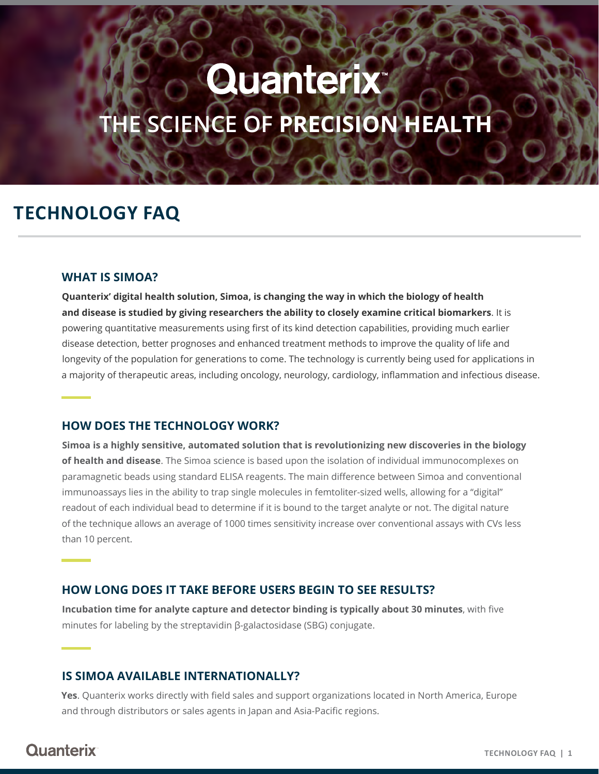# Quanterix **THE SCIENCE OF PRECISION HEALTH**

## **TECHNOLOGY FAQ**

#### **WHAT IS SIMOA?**

**Quanterix' digital health solution, Simoa, is changing the way in which the biology of health and disease is studied by giving researchers the ability to closely examine critical biomarkers**. It is powering quantitative measurements using first of its kind detection capabilities, providing much earlier disease detection, better prognoses and enhanced treatment methods to improve the quality of life and longevity of the population for generations to come. The technology is currently being used for applications in a majority of therapeutic areas, including oncology, neurology, cardiology, inflammation and infectious disease.

#### **HOW DOES THE TECHNOLOGY WORK?**

**Simoa is a highly sensitive, automated solution that is revolutionizing new discoveries in the biology of health and disease**. The Simoa science is based upon the isolation of individual immunocomplexes on paramagnetic beads using standard ELISA reagents. The main difference between Simoa and conventional immunoassays lies in the ability to trap single molecules in femtoliter-sized wells, allowing for a "digital" readout of each individual bead to determine if it is bound to the target analyte or not. The digital nature of the technique allows an average of 1000 times sensitivity increase over conventional assays with CVs less than 10 percent.

#### **HOW LONG DOES IT TAKE BEFORE USERS BEGIN TO SEE RESULTS?**

**Incubation time for analyte capture and detector binding is typically about 30 minutes**, with five minutes for labeling by the streptavidin β-galactosidase (SBG) conjugate.

#### **IS SIMOA AVAILABLE INTERNATIONALLY?**

**Yes**. Quanterix works directly with field sales and support organizations located in North America, Europe and through distributors or sales agents in Japan and Asia-Pacific regions.

## **Quanterix**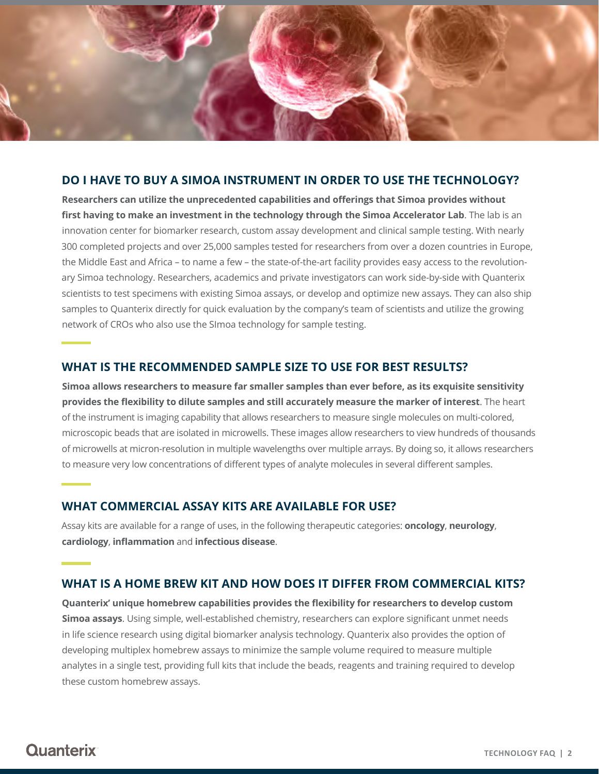

#### **DO I HAVE TO BUY A SIMOA INSTRUMENT IN ORDER TO USE THE TECHNOLOGY?**

**Researchers can utilize the unprecedented capabilities and offerings that Simoa provides without** first having to make an investment in the technology through the Simoa Accelerator Lab. The lab is an innovation center for biomarker research, custom assay development and clinical sample testing. With nearly 300 completed projects and over 25,000 samples tested for researchers from over a dozen countries in Europe, the Middle East and Africa – to name a few – the state-of-the-art facility provides easy access to the revolutionary Simoa technology. Researchers, academics and private investigators can work side-by-side with Quanterix scientists to test specimens with existing Simoa assays, or develop and optimize new assays. They can also ship samples to Quanterix directly for quick evaluation by the company's team of scientists and utilize the growing network of CROs who also use the SImoa technology for sample testing.

#### **WHAT IS THE RECOMMENDED SAMPLE SIZE TO USE FOR BEST RESULTS?**

**Simoa allows researchers to measure far smaller samples than ever before, as its exquisite sensitivity provides the flexibility to dilute samples and still accurately measure the marker of interest**. The heart of the instrument is imaging capability that allows researchers to measure single molecules on multi-colored, microscopic beads that are isolated in microwells. These images allow researchers to view hundreds of thousands of microwells at micron-resolution in multiple wavelengths over multiple arrays. By doing so, it allows researchers to measure very low concentrations of different types of analyte molecules in several different samples.

#### **WHAT COMMERCIAL ASSAY KITS ARE AVAILABLE FOR USE?**

Assay kits are available for a range of uses, in the following therapeutic categories: **oncology**, **neurology**, **cardiology**, **inflammation** and **infectious disease**.

#### **WHAT IS A HOME BREW KIT AND HOW DOES IT DIFFER FROM COMMERCIAL KITS?**

**Quanterix' unique homebrew capabilities provides the flexibility for researchers to develop custom Simoa assays**. Using simple, well-established chemistry, researchers can explore significant unmet needs in life science research using digital biomarker analysis technology. Quanterix also provides the option of developing multiplex homebrew assays to minimize the sample volume required to measure multiple analytes in a single test, providing full kits that include the beads, reagents and training required to develop these custom homebrew assays.

## **Quanterix**